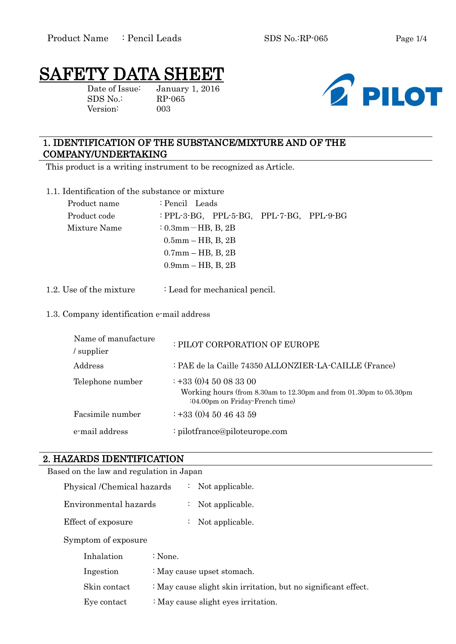# SAFETY DATA SHEET

SDS No.: RP-065 Version: 003

Date of Issue: January 1, 2016



# 1. IDENTIFICATION OF THE SUBSTANCE/MIXTURE AND OF THE COMPANY/UNDERTAKING

This product is a writing instrument to be recognized as Article.

1.1. Identification of the substance or mixture

| Product name | : Pencil Leads                           |
|--------------|------------------------------------------|
| Product code | : PPL-3-BG, PPL-5-BG, PPL-7-BG, PPL-9-BG |
| Mixture Name | $: 0.3$ mm $-HB$ , B, 2B                 |
|              | $0.5$ mm $-$ HB, B, 2B                   |
|              | $0.7$ mm $-$ HB, B, 2B                   |
|              | $0.9$ mm $-$ HB, B, 2B                   |
|              |                                          |

1.2. Use of the mixture : Lead for mechanical pencil.

### 1.3. Company identification e-mail address

| Name of manufacture<br>/ supplier | : PILOT CORPORATION OF EUROPE                                                                                                       |
|-----------------------------------|-------------------------------------------------------------------------------------------------------------------------------------|
| Address                           | : PAE de la Caille 74350 ALLONZIER-LA-CAILLE (France)                                                                               |
| Telephone number                  | $\div$ +33 (0)4 50 08 33 00<br>Working hours (from 8.30am to 12.30pm and from 01.30pm to 05.30pm<br>:04.00pm on Friday-French time) |
| Facsimile number                  | $\div$ +33 (0)4 50 46 43 59                                                                                                         |
| e-mail address                    | : pilotfrance@piloteurope.com                                                                                                       |

### 2. HAZARDS IDENTIFICATION

| Based on the law and regulation in Japan |                            |                    |                                                                |
|------------------------------------------|----------------------------|--------------------|----------------------------------------------------------------|
|                                          | Physical /Chemical hazards | ÷,                 | Not applicable.                                                |
|                                          | Environmental hazards      | ÷.                 | Not applicable.                                                |
|                                          | Effect of exposure         | $\mathcal{L}$      | Not applicable.                                                |
|                                          | Symptom of exposure        |                    |                                                                |
|                                          | Inhalation                 | $\therefore$ None. |                                                                |
|                                          | Ingestion                  |                    | : May cause upset stomach.                                     |
|                                          | Skin contact               |                    | : May cause slight skin irritation, but no significant effect. |
|                                          |                            |                    |                                                                |

Eye contact : May cause slight eyes irritation.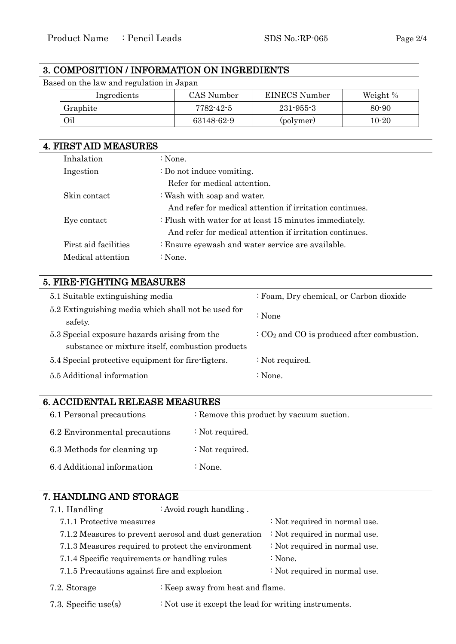# 3. COMPOSITION / INFORMATION ON INGREDIENTS

Based on the law and regulation in Japan

| Ingredients | CAS Number | <b>EINECS</b> Number | Weight %  |
|-------------|------------|----------------------|-----------|
| Graphite    | 7782-42-5  | $231 - 955 - 3$      | $80 - 90$ |
| Oil         | 63148-62-9 | (polymer)            | 10-20     |

# 4. FIRST AID MEASURES Inhalation : None. Ingestion : Do not induce vomiting. Refer for medical attention. Skin contact : Wash with soap and water. And refer for medical attention if irritation continues. Eye contact : Flush with water for at least 15 minutes immediately. And refer for medical attention if irritation continues. First aid facilities : Ensure eyewash and water service are available. Medical attention : None.

# 5. FIRE-FIGHTING MEASURES

| 5.1 Suitable extinguishing media                                                                  | : Foam, Dry chemical, or Carbon dioxide                      |
|---------------------------------------------------------------------------------------------------|--------------------------------------------------------------|
| 5.2 Extinguishing media which shall not be used for<br>safety.                                    | : None                                                       |
| 5.3 Special exposure hazards arising from the<br>substance or mixture itself, combustion products | $\cdot$ CO <sub>2</sub> and CO is produced after combustion. |
| 5.4 Special protective equipment for fire-figters.                                                | : Not required.                                              |
| 5.5 Additional information                                                                        | $\therefore$ None.                                           |

### 6. ACCIDENTAL RELEASE MEASURES

| 6.1 Personal precautions      | : Remove this product by vacuum suction. |
|-------------------------------|------------------------------------------|
| 6.2 Environmental precautions | : Not required.                          |
| 6.3 Methods for cleaning up   | : Not required.                          |
| 6.4 Additional information    | : None.                                  |
|                               |                                          |

### 7. HANDLING AND STORAGE

| 7.1. Handling                                         | : Avoid rough handling. |                               |
|-------------------------------------------------------|-------------------------|-------------------------------|
| 7.1.1 Protective measures                             |                         | : Not required in normal use. |
| 7.1.2 Measures to prevent aerosol and dust generation |                         | : Not required in normal use. |
| 7.1.3 Measures required to protect the environment    |                         | : Not required in normal use. |
| 7.1.4 Specific requirements or handling rules         |                         | : None.                       |
| 7.1.5 Precautions against fire and explosion          |                         | : Not required in normal use. |
| : Keep away from heat and flame.<br>7.2. Storage      |                         |                               |

7.3. Specific use(s) : Not use it except the lead for writing instruments.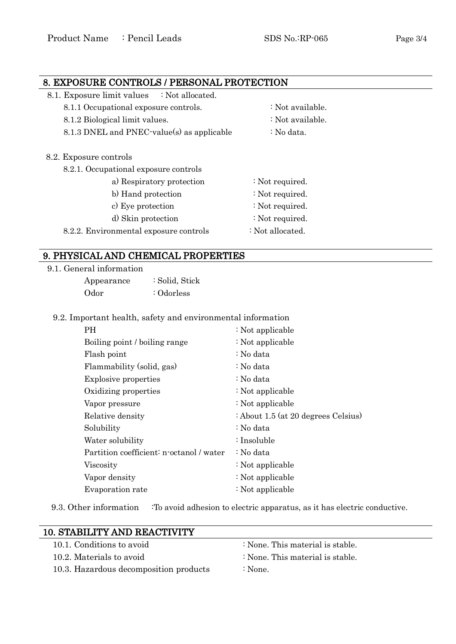# 8. EXPOSURE CONTROLS / PERSONAL PROTECTION 8.1. Exposure limit values : Not allocated. 8.1.1 Occupational exposure controls. : Not available. 8.1.2 Biological limit values.  $\therefore$  Not available. 8.1.3 DNEL and PNEC-value(s) as applicable  $\therefore$  No data. 8.2. Exposure controls 8.2.1. Occupational exposure controls a) Respiratory protection : Not required. b) Hand protection : Not required.

- c) Eye protection : Not required.
	- d) Skin protection : Not required.
- 8.2.2. Environmental exposure controls : Not allocated.

# 9. PHYSICAL AND CHEMICAL PROPERTIES

#### 9.1. General information

| Appearance | : Solid, Stick |
|------------|----------------|
| Odor       | : Odorless     |

#### 9.2. Important health, safety and environmental information

| PH                                       | : Not applicable                    |
|------------------------------------------|-------------------------------------|
| Boiling point / boiling range            | : Not applicable                    |
| Flash point                              | : No data                           |
| Flammability (solid, gas)                | : No data                           |
| <b>Explosive properties</b>              | : No data                           |
| Oxidizing properties                     | : Not applicable                    |
| Vapor pressure                           | : Not applicable                    |
| Relative density                         | : About 1.5 (at 20 degrees Celsius) |
| Solubility                               | : No data                           |
| Water solubility                         | ∶Insoluble                          |
| Partition coefficient: n-octanol / water | : No data                           |
| Viscosity                                | : Not applicable                    |
| Vapor density                            | : Not applicable                    |
| Evaporation rate                         | : Not applicable                    |

9.3. Other information : To avoid adhesion to electric apparatus, as it has electric conductive.

| <b>10. STABILITY AND REACTIVITY</b>    |                                  |  |
|----------------------------------------|----------------------------------|--|
| 10.1. Conditions to avoid              | : None. This material is stable. |  |
| 10.2. Materials to avoid               | : None. This material is stable. |  |
| 10.3. Hazardous decomposition products | : None.                          |  |